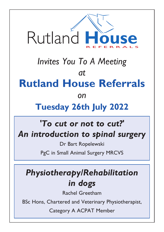

# *Invites You To A Meeting* **Rutland House Referrals**  $\Omega$

#### *on* **Tuesday 26th July 2022**

### *'To cut or not to cut?' An introduction to spinal surgery*

Dr Bart Ropelewski

PgC in Small Animal Surgery MRCVS

### *Physiotherapy/Rehabilitation in dogs*

Rachel Greetham

BSc Hons, Chartered and Veterinary Physiotherapist,

Category A ACPAT Member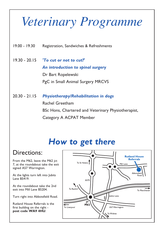## *Veterinary Programme*

19.00 - 19.30 Registration, Sandwiches & Refreshments

- 19.30 20.15 *'To cut or not to cut?' An introduction to spinal surgery* Dr Bart Ropelewski PgC in Small Animal Surgery MRCVS
- 20.30 21.15 *Physiotherapy/Rehabilitation in dogs* Rachel Greetham BSc Hons, Chartered and Veterinary Physiotherapist, Category A ACPAT Member

### *How to get there*

#### Directions:

From the M62, leave the M62 jct 7, at the roundabout take the exit signed A57 Warrington.

At the lights turn left into Jubits Lane B5419.

At the roundabout take the 2nd exit into Mill Lane B5204.

Turn right into Abbotsfield Road.

Rutland House Referrals is the first building on the right **post code WA9 4HU**.